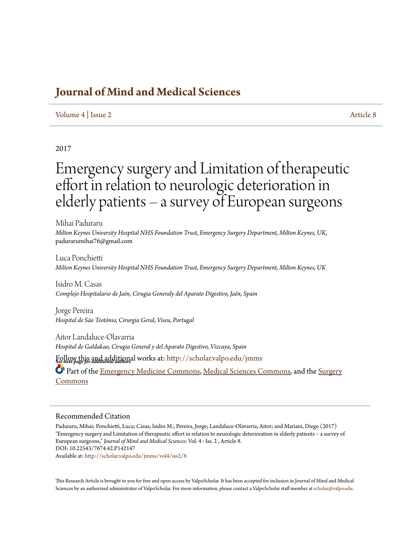## **[Journal of Mind and Medical Sciences](http://scholar.valpo.edu/jmms?utm_source=scholar.valpo.edu%2Fjmms%2Fvol4%2Fiss2%2F8&utm_medium=PDF&utm_campaign=PDFCoverPages)**

#### [Volume 4](http://scholar.valpo.edu/jmms/vol4?utm_source=scholar.valpo.edu%2Fjmms%2Fvol4%2Fiss2%2F8&utm_medium=PDF&utm_campaign=PDFCoverPages) | [Issue 2](http://scholar.valpo.edu/jmms/vol4/iss2?utm_source=scholar.valpo.edu%2Fjmms%2Fvol4%2Fiss2%2F8&utm_medium=PDF&utm_campaign=PDFCoverPages) [Article 8](http://scholar.valpo.edu/jmms/vol4/iss2/8?utm_source=scholar.valpo.edu%2Fjmms%2Fvol4%2Fiss2%2F8&utm_medium=PDF&utm_campaign=PDFCoverPages)

#### 2017

# Emergency surgery and Limitation of therapeutic effort in relation to neurologic deterioration in elderly patients – a survey of European surgeons

Mihai Paduraru *Milton Keynes University Hospital NHS Foundation Trust, Emergency Surgery Department, Milton Keynes, UK*, padurarumihai76@gmail.com

Luca Ponchietti *Milton Keynes University Hospital NHS Foundation Trust, Emergency Surgery Department, Milton Keynes, UK*

Isidro M. Casas *Complejo Hospitalario de Jaén, Cirugia Generaly del Aparato Digestivo, Jaén, Spain*

Jorge Pereira *Hospital de São Teotónio, Cirurgia Geral, Viseu, Portugal*

Aitor Landaluce-Olavarria *Hospital de Galdakao, Cirugia General y del Aparato Digestivo, Vizcaya, Spain*

*See next page for additional authors* Follow this and additional works at: [http://scholar.valpo.edu/jmms](http://scholar.valpo.edu/jmms?utm_source=scholar.valpo.edu%2Fjmms%2Fvol4%2Fiss2%2F8&utm_medium=PDF&utm_campaign=PDFCoverPages)

Part of the [Emergency Medicine Commons,](https://network.bepress.com/hgg/discipline/685?utm_source=scholar.valpo.edu%2Fjmms%2Fvol4%2Fiss2%2F8&utm_medium=PDF&utm_campaign=PDFCoverPages) [Medical Sciences Commons](https://network.bepress.com/hgg/discipline/664?utm_source=scholar.valpo.edu%2Fjmms%2Fvol4%2Fiss2%2F8&utm_medium=PDF&utm_campaign=PDFCoverPages), and the [Surgery](https://network.bepress.com/hgg/discipline/706?utm_source=scholar.valpo.edu%2Fjmms%2Fvol4%2Fiss2%2F8&utm_medium=PDF&utm_campaign=PDFCoverPages) [Commons](https://network.bepress.com/hgg/discipline/706?utm_source=scholar.valpo.edu%2Fjmms%2Fvol4%2Fiss2%2F8&utm_medium=PDF&utm_campaign=PDFCoverPages)

#### Recommended Citation

Paduraru, Mihai; Ponchietti, Luca; Casas, Isidro M.; Pereira, Jorge; Landaluce-Olavarria, Aitor; and Mariani, Diego (2017) "Emergency surgery and Limitation of therapeutic effort in relation to neurologic deterioration in elderly patients – a survey of European surgeons," *Journal of Mind and Medical Sciences*: Vol. 4 : Iss. 2 , Article 8. DOI: 10.22543/7674.42.P142147 Available at: [http://scholar.valpo.edu/jmms/vol4/iss2/8](http://scholar.valpo.edu/jmms/vol4/iss2/8?utm_source=scholar.valpo.edu%2Fjmms%2Fvol4%2Fiss2%2F8&utm_medium=PDF&utm_campaign=PDFCoverPages)

This Research Article is brought to you for free and open access by ValpoScholar. It has been accepted for inclusion in Journal of Mind and Medical Sciences by an authorized administrator of ValpoScholar. For more information, please contact a ValpoScholar staff member at [scholar@valpo.edu](mailto:scholar@valpo.edu).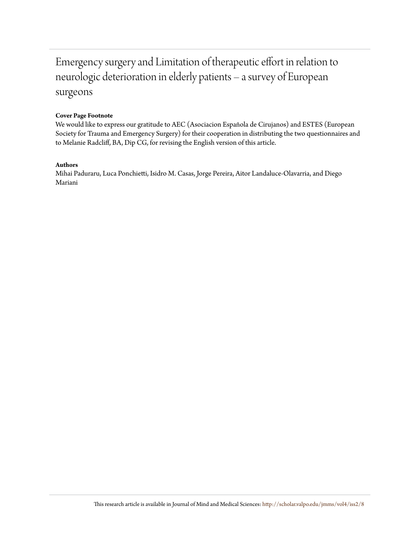## Emergency surgery and Limitation of therapeutic effort in relation to neurologic deterioration in elderly patients – a survey of European surgeons

#### **Cover Page Footnote**

We would like to express our gratitude to AEC (Asociacion Española de Cirujanos) and ESTES (European Society for Trauma and Emergency Surgery) for their cooperation in distributing the two questionnaires and to Melanie Radcliff, BA, Dip CG, for revising the English version of this article.

#### **Authors**

Mihai Paduraru, Luca Ponchietti, Isidro M. Casas, Jorge Pereira, Aitor Landaluce-Olavarria, and Diego Mariani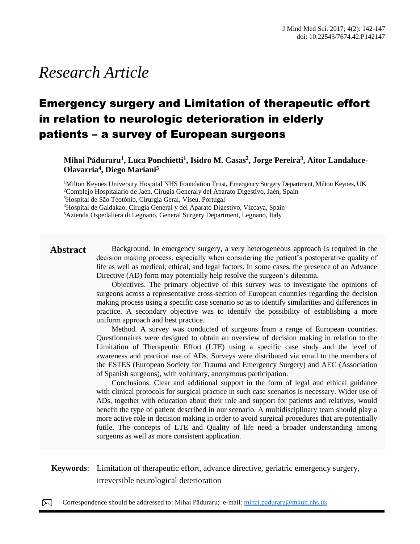# *Research Article*

## Emergency surgery and Limitation of therapeutic effort in relation to neurologic deterioration in elderly patients – a survey of European surgeons

**Mihai Păduraru<sup>1</sup> , Luca Ponchietti<sup>1</sup> , Isidro M. Casas<sup>2</sup> , Jorge Pereira<sup>3</sup> , Aitor Landaluce-Olavarria<sup>4</sup> , Diego Mariani<sup>5</sup>**

<sup>1</sup>Milton Keynes University Hospital NHS Foundation Trust, Emergency Surgery Department, Milton Keynes, UK <sup>2</sup>Complejo Hospitalario de Jaén, Cirugia Generaly del Aparato Digestivo, Jaén, Spain

<sup>3</sup>Hospital de São Teotónio, Cirurgia Geral, Viseu, Portugal

<sup>4</sup>Hospital de Galdakao, Cirugia General y del Aparato Digestivo, Vizcaya, Spain

<sup>5</sup>Azienda Ospedaliera di Legnano, General Surgery Department, Legnano, Italy

Abstract Background. In emergency surgery, a very heterogeneous approach is required in the decision making process, especially when considering the patient's postoperative quality of life as well as medical, ethical, and legal factors. In some cases, the presence of an Advance Directive (AD) form may potentially help resolve the surgeon's dilemma.

> Objectives. The primary objective of this survey was to investigate the opinions of surgeons across a representative cross-section of European countries regarding the decision making process using a specific case scenario so as to identify similarities and differences in practice. A secondary objective was to identify the possibility of establishing a more uniform approach and best practice.

> Method. A survey was conducted of surgeons from a range of European countries. Questionnaires were designed to obtain an overview of decision making in relation to the Limitation of Therapeutic Effort (LTE) using a specific case study and the level of awareness and practical use of ADs. Surveys were distributed via email to the members of the ESTES (European Society for Trauma and Emergency Surgery) and AEC (Association of Spanish surgeons), with voluntary, anonymous participation.

> Conclusions. Clear and additional support in the form of legal and ethical guidance with clinical protocols for surgical practice in such case scenarios is necessary. Wider use of ADs, together with education about their role and support for patients and relatives, would benefit the type of patient described in our scenario. A multidisciplinary team should play a more active role in decision making in order to avoid surgical procedures that are potentially futile. The concepts of LTE and Quality of life need a broader understanding among surgeons as well as more consistent application.

#### **Keywords:** Limitation of therapeutic effort, advance directive, geriatric emergency surgery, irreversible neurological deterioration papules, pustules, nodules and sometimes hematic or meliceric crusts, located on the face, trunk, neck, arms

**Case Report**

Correspondence should be addressed to: Mihai Păduraru; e-mail: [mihai.paduraru@mkuh.nhs.uk](mailto:mihai.paduraru@mkuh.nhs.uk)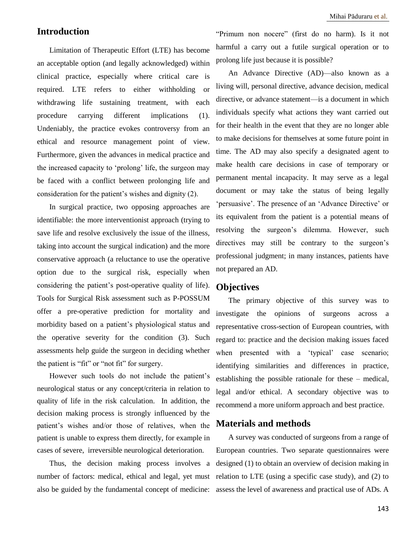### **Introduction**

Limitation of Therapeutic Effort (LTE) has become an acceptable option (and legally acknowledged) within clinical practice, especially where critical care is required. LTE refers to either withholding or withdrawing life sustaining treatment, with each procedure carrying different implications (1). Undeniably, the practice evokes controversy from an ethical and resource management point of view. Furthermore, given the advances in medical practice and the increased capacity to 'prolong' life, the surgeon may be faced with a conflict between prolonging life and consideration for the patient's wishes and dignity (2).

In surgical practice, two opposing approaches are identifiable: the more interventionist approach (trying to save life and resolve exclusively the issue of the illness, taking into account the surgical indication) and the more conservative approach (a reluctance to use the operative option due to the surgical risk, especially when considering the patient's post-operative quality of life). Tools for Surgical Risk assessment such as P-POSSUM offer a pre-operative prediction for mortality and morbidity based on a patient's physiological status and the operative severity for the condition (3). Such assessments help guide the surgeon in deciding whether the patient is "fit" or "not fit" for surgery.

However such tools do not include the patient's neurological status or any concept/criteria in relation to quality of life in the risk calculation. In addition, the decision making process is strongly influenced by the patient's wishes and/or those of relatives, when the patient is unable to express them directly, for example in cases of severe, irreversible neurological deterioration.

Thus, the decision making process involves a number of factors: medical, ethical and legal, yet must also be guided by the fundamental concept of medicine:

"Primum non nocere" (first do no harm). Is it not harmful a carry out a futile surgical operation or to prolong life just because it is possible?

An Advance Directive (AD)—also known as a living will, personal directive, advance decision, medical directive, or advance statement—is a document in which individuals specify what actions they want carried out for their health in the event that they are no longer able to make decisions for themselves at some future point in time. The AD may also specify a designated agent to make health care decisions in case of temporary or permanent mental incapacity. It may serve as a legal document or may take the status of being legally 'persuasive'. The presence of an 'Advance Directive' or its equivalent from the patient is a potential means of resolving the surgeon's dilemma. However, such directives may still be contrary to the surgeon's professional judgment; in many instances, patients have not prepared an AD.

#### **Objectives**

The primary objective of this survey was to investigate the opinions of surgeons across a representative cross-section of European countries, with regard to: practice and the decision making issues faced when presented with a 'typical' case scenario; identifying similarities and differences in practice, establishing the possible rationale for these – medical, legal and/or ethical. A secondary objective was to recommend a more uniform approach and best practice.

#### **Materials and methods**

A survey was conducted of surgeons from a range of European countries. Two separate questionnaires were designed (1) to obtain an overview of decision making in relation to LTE (using a specific case study), and (2) to assess the level of awareness and practical use of ADs. A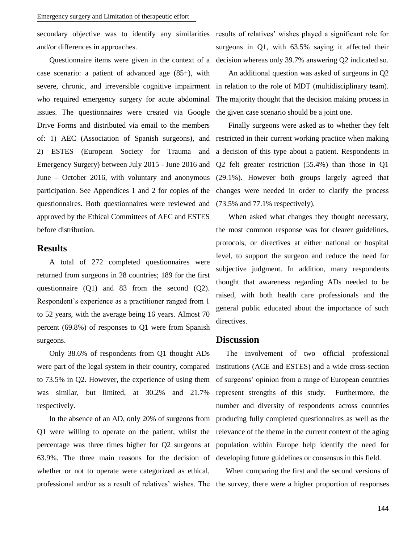and/or differences in approaches.

case scenario: a patient of advanced age (85+), with severe, chronic, and irreversible cognitive impairment who required emergency surgery for acute abdominal issues. The questionnaires were created via Google Drive Forms and distributed via email to the members of: 1) AEC (Association of Spanish surgeons), and 2) ESTES (European Society for Trauma and Emergency Surgery) between July 2015 - June 2016 and June – October 2016, with voluntary and anonymous participation. See Appendices 1 and 2 for copies of the questionnaires. Both questionnaires were reviewed and approved by the Ethical Committees of AEC and ESTES before distribution.

#### **Results**

A total of 272 completed questionnaires were returned from surgeons in 28 countries; 189 for the first questionnaire (Q1) and 83 from the second (Q2). Respondent's experience as a practitioner ranged from 1 to 52 years, with the average being 16 years. Almost 70 percent (69.8%) of responses to Q1 were from Spanish surgeons.

Only 38.6% of respondents from Q1 thought ADs were part of the legal system in their country, compared to 73.5% in Q2. However, the experience of using them was similar, but limited, at 30.2% and 21.7% respectively.

In the absence of an AD, only 20% of surgeons from Q1 were willing to operate on the patient, whilst the 63.9%. The three main reasons for the decision of developing future guidelines or consensus in this field. whether or not to operate were categorized as ethical,

secondary objective was to identify any similarities results of relatives' wishes played a significant role for Questionnaire items were given in the context of a decision whereas only 39.7% answering Q2 indicated so. surgeons in Q1, with 63.5% saying it affected their

> An additional question was asked of surgeons in Q2 in relation to the role of MDT (multidisciplinary team). The majority thought that the decision making process in the given case scenario should be a joint one.

> Finally surgeons were asked as to whether they felt restricted in their current working practice when making a decision of this type about a patient. Respondents in Q2 felt greater restriction (55.4%) than those in Q1 (29.1%). However both groups largely agreed that changes were needed in order to clarify the process (73.5% and 77.1% respectively).

> When asked what changes they thought necessary, the most common response was for clearer guidelines, protocols, or directives at either national or hospital level, to support the surgeon and reduce the need for subjective judgment. In addition, many respondents thought that awareness regarding ADs needed to be raised, with both health care professionals and the general public educated about the importance of such directives.

#### **Discussion**

percentage was three times higher for Q2 surgeons at population within Europe help identify the need for The involvement of two official professional institutions (ACE and ESTES) and a wide cross-section of surgeons' opinion from a range of European countries represent strengths of this study. Furthermore, the number and diversity of respondents across countries producing fully completed questionnaires as well as the relevance of the theme in the current context of the aging

professional and/or as a result of relatives' wishes. The the survey, there were a higher proportion of responses When comparing the first and the second versions of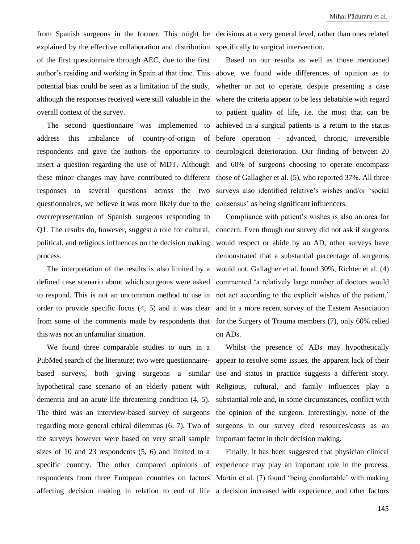from Spanish surgeons in the former. This might be decisions at a very general level, rather than ones related explained by the effective collaboration and distribution specifically to surgical intervention. of the first questionnaire through AEC, due to the first potential bias could be seen as a limitation of the study, although the responses received were still valuable in the overall context of the survey.

The second questionnaire was implemented to respondents and gave the authors the opportunity to insert a question regarding the use of MDT. Although these minor changes may have contributed to different responses to several questions across the two questionnaires, we believe it was more likely due to the overrepresentation of Spanish surgeons responding to Q1. The results do, however, suggest a role for cultural, concern. Even though our survey did not ask if surgeons political, and religious influences on the decision making process.

this was not an unfamiliar situation.

We found three comparable studies to ours in a PubMed search of the literature; two were questionnairebased surveys, both giving surgeons a similar hypothetical case scenario of an elderly patient with dementia and an acute life threatening condition (4, 5). The third was an interview-based survey of surgeons regarding more general ethical dilemmas (6, 7). Two of the surveys however were based on very small sample important factor in their decision making. sizes of 10 and 23 respondents (5, 6) and limited to a

author's residing and working in Spain at that time. This above, we found wide differences of opinion as to address this imbalance of country-of-origin of before operation - advanced, chronic, irreversible Based on our results as well as those mentioned whether or not to operate, despite presenting a case where the criteria appear to be less debatable with regard to patient quality of life, i.e. the most that can be achieved in a surgical patients is a return to the status neurological deterioration. Our finding of between 20 and 60% of surgeons choosing to operate encompass those of Gallagher et al. (5), who reported 37%. All three surveys also identified relative's wishes and/or 'social consensus' as being significant influencers.

The interpretation of the results is also limited by a would not. Gallagher et al. found 30%, Richter et al. (4) defined case scenario about which surgeons were asked commented 'a relatively large number of doctors would to respond. This is not an uncommon method to use in not act according to the explicit wishes of the patient,' order to provide specific focus (4, 5) and it was clear and in a more recent survey of the Eastern Association from some of the comments made by respondents that for the Surgery of Trauma members (7), only 60% relied Compliance with patient's wishes is also an area for would respect or abide by an AD, other surveys have demonstrated that a substantial percentage of surgeons on ADs.

> Whilst the presence of ADs may hypothetically appear to resolve some issues, the apparent lack of their use and status in practice suggests a different story. Religious, cultural, and family influences play a substantial role and, in some circumstances, conflict with the opinion of the surgeon. Interestingly, none of the surgeons in our survey cited resources/costs as an

specific country. The other compared opinions of experience may play an important role in the process. respondents from three European countries on factors Martin et al. (7) found 'being comfortable' with making affecting decision making in relation to end of life a decision increased with experience, and other factors Finally, it has been suggested that physician clinical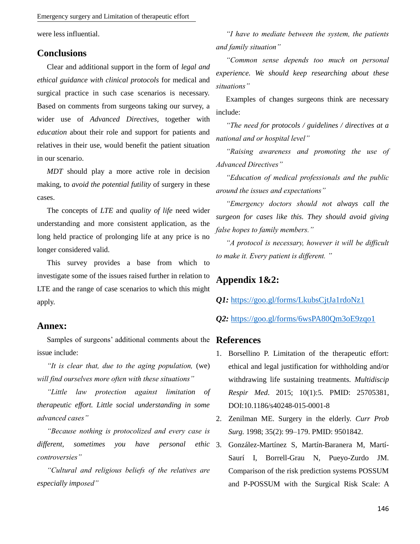Emergency surgery and Limitation of therapeutic effort

were less influential.

#### **Conclusions**

Clear and additional support in the form of *legal and ethical guidance with clinical protocols* for medical and surgical practice in such case scenarios is necessary. Based on comments from surgeons taking our survey, a wider use of *Advanced Directives,* together with *education* about their role and support for patients and relatives in their use, would benefit the patient situation in our scenario.

*MDT* should play a more active role in decision making, to *avoid the potential futility* of surgery in these cases.

The concepts of *LTE* and *quality of life* need wider understanding and more consistent application, as the long held practice of prolonging life at any price is no longer considered valid.

This survey provides a base from which to investigate some of the issues raised further in relation to LTE and the range of case scenarios to which this might apply.

#### **Annex:**

Samples of surgeons' additional comments about the **References** issue include:

*"It is clear that, due to the aging population,* (we) *will find ourselves more often with these situations"*

*"Little law protection against limitation of therapeutic effort. Little social understanding in some advanced cases"*

*"Because nothing is protocolized and every case is different, sometimes you have personal ethic controversies"*

*"Cultural and religious beliefs of the relatives are especially imposed"*

*"I have to mediate between the system, the patients and family situation"*

*"Common sense depends too much on personal experience. We should keep researching about these situations"* 

Examples of changes surgeons think are necessary include:

*"The need for protocols / guidelines / directives at a national and or hospital level"*

*"Raising awareness and promoting the use of Advanced Directives"*

*"Education of medical professionals and the public around the issues and expectations"*

*"Emergency doctors should not always call the surgeon for cases like this. They should avoid giving false hopes to family members."* 

*"A protocol is necessary, however it will be difficult to make it. Every patient is different. "*

### **Appendix 1&2:**

*Q1:* <https://goo.gl/forms/LkubsCjtJa1rdoNz1>

*Q2:* <https://goo.gl/forms/6wsPA80Qm3oE9zqo1>

- 1. Borsellino P. Limitation of the therapeutic effort: ethical and legal justification for withholding and/or withdrawing life sustaining treatments. *Multidiscip Respir Med*. 2015; 10(1):5. PMID: 25705381, DOI:10.1186/s40248-015-0001-8
- 2. Zenilman ME. Surgery in the elderly. *Curr Prob Surg.* 1998; 35(2): 99–179. PMID: 9501842.
- 3. González-Martínez S*,* Martín-Baranera M, Martí-Saurí I, Borrell-Grau N, Pueyo-Zurdo JM. Comparison of the risk prediction systems POSSUM and P-POSSUM with the Surgical Risk Scale: A